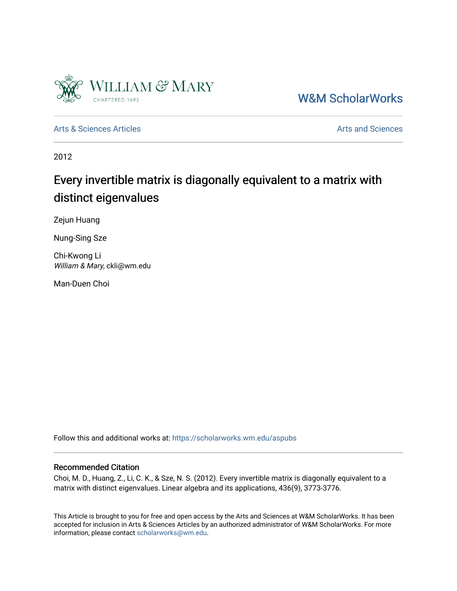

[W&M ScholarWorks](https://scholarworks.wm.edu/) 

[Arts & Sciences Articles](https://scholarworks.wm.edu/aspubs) **Articles** [Arts and Sciences](https://scholarworks.wm.edu/as) Articles Arts and Sciences Arts and Sciences Articles Arts and Sciences Arts and Sciences Articles Arts and Sciences Articles Arts and Sciences Articles **Arts and Scien** 

2012

# Every invertible matrix is diagonally equivalent to a matrix with distinct eigenvalues

Zejun Huang

Nung-Sing Sze

Chi-Kwong Li William & Mary, ckli@wm.edu

Man-Duen Choi

Follow this and additional works at: [https://scholarworks.wm.edu/aspubs](https://scholarworks.wm.edu/aspubs?utm_source=scholarworks.wm.edu%2Faspubs%2F1563&utm_medium=PDF&utm_campaign=PDFCoverPages) 

### Recommended Citation

Choi, M. D., Huang, Z., Li, C. K., & Sze, N. S. (2012). Every invertible matrix is diagonally equivalent to a matrix with distinct eigenvalues. Linear algebra and its applications, 436(9), 3773-3776.

This Article is brought to you for free and open access by the Arts and Sciences at W&M ScholarWorks. It has been accepted for inclusion in Arts & Sciences Articles by an authorized administrator of W&M ScholarWorks. For more information, please contact [scholarworks@wm.edu](mailto:scholarworks@wm.edu).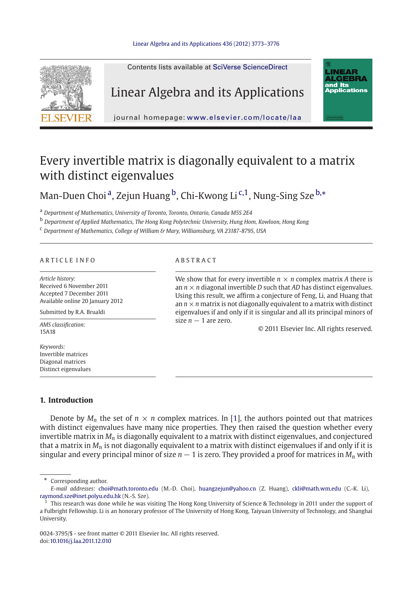### [Linear Algebra and its Applications 436 \(2012\) 3773–3776](http://dx.doi.org/10.1016/j.laa.2011.12.010)



## Every invertible matrix is diagonally equivalent to a matrix with distinct eigenvalues

Man-Duen Choi<sup>a</sup>, Zejun Huang <sup>b</sup>, Chi-Kwong Li<sup>c,1</sup>, Nung-Sing Sze<sup>b,\*</sup>

<sup>a</sup> *Department of Mathematics, University of Toronto, Toronto, Ontario, Canada M5S 2E4*

<sup>b</sup> *Department of Applied Mathematics, The Hong Kong Polytechnic University, Hung Hom, Kowloon, Hong Kong*

<sup>c</sup> *Department of Mathematics, College of William & Mary, Williamsburg, VA 23187-8795, USA*

### ARTICLE INFO ABSTRACT

*Article history:* Received 6 November 2011 Accepted 7 December 2011 Available online 20 January 2012

Submitted by R.A. Brualdi

*AMS classification:* 15A18

*Keywords:* Invertible matrices Diagonal matrices Distinct eigenvalues

We show that for every invertible  $n \times n$  complex matrix A there is an  $n \times n$  diagonal invertible *D* such that *AD* has distinct eigenvalues. Using this result, we affirm a conjecture of Feng, Li, and Huang that an  $n \times n$  matrix is not diagonally equivalent to a matrix with distinct eigenvalues if and only if it is singular and all its principal minors of size  $n - 1$  are zero.

© 2011 Elsevier Inc. All rights reserved.

### **1. Introduction**

Denote by  $M_n$  the set of  $n \times n$  complex matrices. In [\[1](#page-4-0)], the authors pointed out that matrices with distinct eigenvalues have many nice properties. They then raised the question whether every invertible matrix in *Mn* is diagonally equivalent to a matrix with distinct eigenvalues, and conjectured that a matrix in *Mn* is not diagonally equivalent to a matrix with distinct eigenvalues if and only if it is singular and every principal minor of size  $n - 1$  is zero. They provided a proof for matrices in  $M_n$  with

∗ Corresponding author.

*E-mail addresses:* choi@math.toronto.edu (M.-D. Choi), huangzejun@yahoo.cn (Z. Huang), ckli@math.wm.edu (C.-K. Li), raymond.sze@inet.polyu.edu.hk (N.-S. Sze).

<sup>1</sup> This research was done while he was visiting The Hong Kong University of Science & Technology in 2011 under the support of a Fulbright Fellowship. Li is an honorary professor of The University of Hong Kong, Taiyuan University of Technology, and Shanghai University.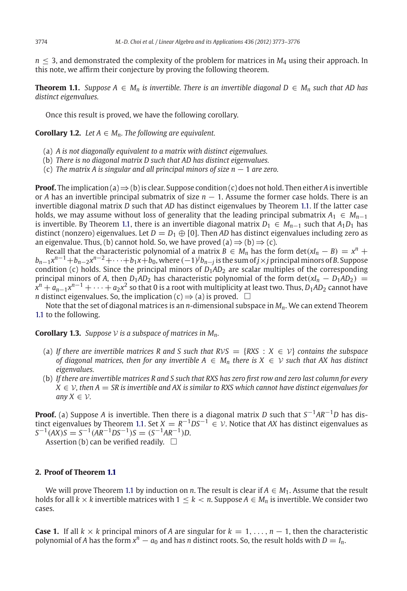<span id="page-2-0"></span> $n \leq 3$ , and demonstrated the complexity of the problem for matrices in  $M_4$  using their approach. In this note, we affirm their conjecture by proving the following theorem.

**Theorem 1.1.** *Suppose*  $A \text{ ∈ } M_n$  *is invertible. There is an invertible diagonal*  $D \text{ ∈ } M_n$  *such that AD has distinct eigenvalues.*

Once this result is proved, we have the following corollary.

**Corollary 1.2.** *Let*  $A \in M_n$ *. The following are equivalent.* 

(a) *A is not diagonally equivalent to a matrix with distinct eigenvalues.*

(b) *There is no diagonal matrix D such that AD has distinct eigenvalues.*

(c) *The matrix A is singular and all principal minors of size n* − 1 *are zero.*

**Proof.** The implication (a)⇒(b) is clear. Suppose condition (c) does not hold. Then either *A* is invertible or *A* has an invertible principal submatrix of size *n* − 1. Assume the former case holds. There is an invertible diagonal matrix *D* such that *AD* has distinct eigenvalues by Theorem [1.1.](#page-2-0) If the latter case holds, we may assume without loss of generality that the leading principal submatrix  $A_1 \in M_{n-1}$ is invertible. By Theorem [1.1,](#page-2-0) there is an invertible diagonal matrix  $D_1 \n\t\in M_{n-1}$  such that  $A_1D_1$  has distinct (nonzero) eigenvalues. Let  $D = D_1 \oplus [0]$ . Then AD has distinct eigenvalues including zero as an eigenvalue. Thus, (b) cannot hold. So, we have proved (a)  $\Rightarrow$  (b)  $\Rightarrow$  (c).

Recall that the characteristic polynomial of a matrix  $B \in M_n$  has the form  $det(xI_n - B) = x^n +$  $b_{n-1}x^{n-1}+b_{n-2}x^{n-2}+\cdots+b_1x+b_0$ , where  $(-1)^jb_{n-j}$  is the sum of  $j\times j$  principal minors of  $B$ . Suppose condition (c) holds. Since the principal minors of  $D_1AD_2$  are scalar multiples of the corresponding principal minors of *A*, then  $D_1AD_2$  has characteristic polynomial of the form det( $xI_n - D_1AD_2$ ) =  $x^n + a_{n-1}x^{n-1} + \cdots + a_2x^2$  so that 0 is a root with multiplicity at least two. Thus, *D*<sub>1</sub>*AD*<sub>2</sub> cannot have *n* distinct eigenvalues. So, the implication (c)  $\Rightarrow$  (a) is proved.  $\Box$ 

Note that the set of diagonal matrices is an *n*-dimensional subspace in *Mn*. We can extend Theorem [1.1](#page-2-0) to the following.

**Corollary 1.3.** *Suppose*  $V$  *is a subspace of matrices in*  $M_n$ *.* 

- (a) If there are invertible matrices R and S such that  $RVS = \{RXS : X \in V\}$  contains the subspace *of diagonal matrices, then for any invertible*  $A \in M_n$  *there is*  $X \in V$  *such that AX has distinct eigenvalues.*
- (b) *If there are invertible matrices R and S such that RXS has zero first row and zero last column for every*  $X \in V$ , then  $A = SR$  is invertible and AX is similar to RXS which cannot have distinct eigenvalues for *any*  $X \in V$ *.*

**Proof.** (a) Suppose *A* is invertible. Then there is a diagonal matrix *D* such that *S*−1*AR*−1*D* has dis-tinct eigenvalues by Theorem [1.1.](#page-2-0) Set  $X = R^{-1}DS^{-1} \in V$ . Notice that AX has distinct eigenvalues as  $S^{-1}(AX)S = S^{-1}(AR^{-1}DS^{-1})S = (S^{-1}AR^{-1})D$ .

Assertion (b) can be verified readily.  $\Box$ 

### **2. Proof of Theorem [1.1](#page-2-0)**

We will prove Theorem [1.1](#page-2-0) by induction on *n*. The result is clear if  $A \in M_1$ . Assume that the result holds for all  $k \times k$  invertible matrices with  $1 \leq k < n$ . Suppose  $A \in M_n$  is invertible. We consider two cases.

**Case 1.** If all  $k \times k$  principal minors of *A* are singular for  $k = 1, \ldots, n - 1$ , then the characteristic polynomial of *A* has the form  $x^n - a_0$  and has *n* distinct roots. So, the result holds with  $D = I_n$ .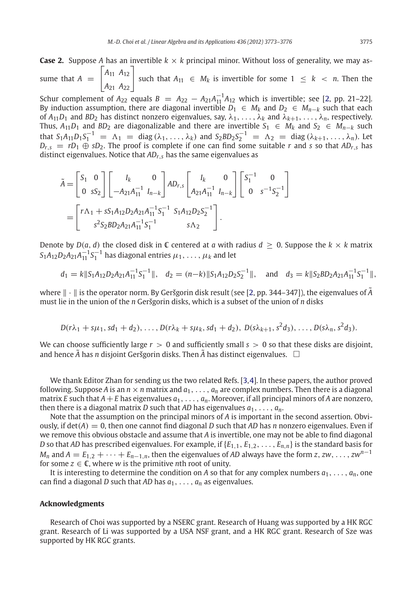**Case 2.** Suppose *A* has an invertible  $k \times k$  principal minor. Without loss of generality, we may assume that  $A =$  $\overline{a}$  $\mathbf{L}$ *A*<sup>11</sup> *A*<sup>12</sup> *A*<sup>21</sup> *A*<sup>22</sup>  $\overline{\phantom{a}}$ | such that  $A_{11}$  ∈  $M_k$  is invertible for some  $1 ≤ k < n$ . Then the

Schur complement of  $A_{22}$  equals  $B = A_{22} - A_{21}A_{11}^{-1}A_{12}$  which is invertible; see [\[2,](#page-4-1) pp. 21–22]. By induction assumption, there are diagonal invertible  $D_1 \in M_k$  and  $D_2 \in M_{n-k}$  such that each of  $A_{11}D_1$  and  $BD_2$  has distinct nonzero eigenvalues, say,  $\lambda_1, \ldots, \lambda_k$  and  $\lambda_{k+1}, \ldots, \lambda_n$ , respectively. Thus,  $A_{11}D_1$  and  $BD_2$  are diagonalizable and there are invertible  $S_1 \in M_k$  and  $S_2 \in M_{n-k}$  such that  $S_1A_{11}D_1S_1^{-1} = \Lambda_1 = \text{diag}(\lambda_1, \ldots, \lambda_k)$  and  $S_2BD_2S_2^{-1} = \Lambda_2 = \text{diag}(\lambda_{k+1}, \ldots, \lambda_n)$ . Let  $D_{r,s} = rD_1 \oplus sD_2$ . The proof is complete if one can find some suitable *r* and *s* so that *AD<sub>r</sub>*,*s* has distinct eigenvalues. Notice that *ADr*,*<sup>s</sup>* has the same eigenvalues as

$$
\tilde{A} = \begin{bmatrix} S_1 & 0 \\ 0 & sS_2 \end{bmatrix} \begin{bmatrix} I_k & 0 \\ -A_{21}A_{11}^{-1} & I_{n-k} \end{bmatrix} AD_{r,s} \begin{bmatrix} I_k & 0 \\ A_{21}A_{11}^{-1} & I_{n-k} \end{bmatrix} \begin{bmatrix} S_1^{-1} & 0 \\ 0 & s^{-1}S_2^{-1} \end{bmatrix}
$$

$$
= \begin{bmatrix} r\Lambda_1 + sS_1A_{12}D_2A_{21}A_{11}^{-1}S_1^{-1} & S_1A_{12}D_2S_2^{-1} \\ s^2S_2BD_2A_{21}A_{11}^{-1}S_1^{-1} & s\Lambda_2 \end{bmatrix}.
$$

Denote by  $D(a, d)$  the closed disk in  $\mathbb C$  centered at *a* with radius  $d \geq 0$ . Suppose the  $k \times k$  matrix  $S_1A_{12}D_2A_{21}A_{11}^{-1}S_1^{-1}$  has diagonal entries  $\mu_1,\ldots,\mu_k$  and let

$$
d_1 = k \|S_1 A_{12} D_2 A_{21} A_{11}^{-1} S_1^{-1} \|
$$
,  $d_2 = (n-k) \|S_1 A_{12} D_2 S_2^{-1} \|$ , and  $d_3 = k \|S_2 B D_2 A_{21} A_{11}^{-1} S_1^{-1} \|$ ,

where  $\|\cdot\|$  is the operator norm. By Geršgorin disk result (see [\[2](#page-4-1), pp. 344–347]), the eigenvalues of  $\tilde{A}$ must lie in the union of the *n* Geršgorin disks, which is a subset of the union of *n* disks

$$
D(r\lambda_1 + s\mu_1, sd_1 + d_2), \ldots, D(r\lambda_k + s\mu_k, sd_1 + d_2), D(s\lambda_{k+1}, s^2d_3), \ldots, D(s\lambda_n, s^2d_3).
$$

We can choose sufficiently large  $r > 0$  and sufficiently small  $s > 0$  so that these disks are disjoint, and hence  $\tilde{A}$  has  $n$  disjoint Geršgorin disks. Then  $\tilde{A}$  has distinct eigenvalues.  $\;\;\Box$ 

We thank Editor Zhan for sending us the two related Refs. [\[3](#page-4-2)[,4\]](#page-4-3). In these papers, the author proved following. Suppose A is an  $n \times n$  matrix and  $a_1, \ldots, a_n$  are complex numbers. Then there is a diagonal matrix *E* such that  $A + E$  has eigenvalues  $a_1, \ldots, a_n$ . Moreover, if all principal minors of *A* are nonzero, then there is a diagonal matrix *D* such that *AD* has eigenvalues  $a_1, \ldots, a_n$ .

Note that the assumption on the principal minors of *A* is important in the second assertion. Obviously, if det(*A*) = 0, then one cannot find diagonal *D* such that *AD* has *n* nonzero eigenvalues. Even if we remove this obvious obstacle and assume that *A* is invertible, one may not be able to find diagonal *D* so that *AD* has prescribed eigenvalues. For example, if  $\{E_{1,1}, E_{1,2}, \ldots, E_{n,n}\}$  is the standard basis for  $M_n$  and  $A = E_{1,2} + \cdots + E_{n-1,n}$ , then the eigenvalues of *AD* always have the form *z*, *zw*, ..., *zw*<sup>n−1</sup> for some  $z \in \mathbb{C}$ , where *w* is the primitive *n*th root of unity.

It is interesting to determine the condition on *A* so that for any complex numbers  $a_1, \ldots, a_n$ , one can find a diagonal *D* such that *AD* has *a*1,..., *an* as eigenvalues.

### **Acknowledgments**

Research of Choi was supported by a NSERC grant. Research of Huang was supported by a HK RGC grant. Research of Li was supported by a USA NSF grant, and a HK RGC grant. Research of Sze was supported by HK RGC grants.